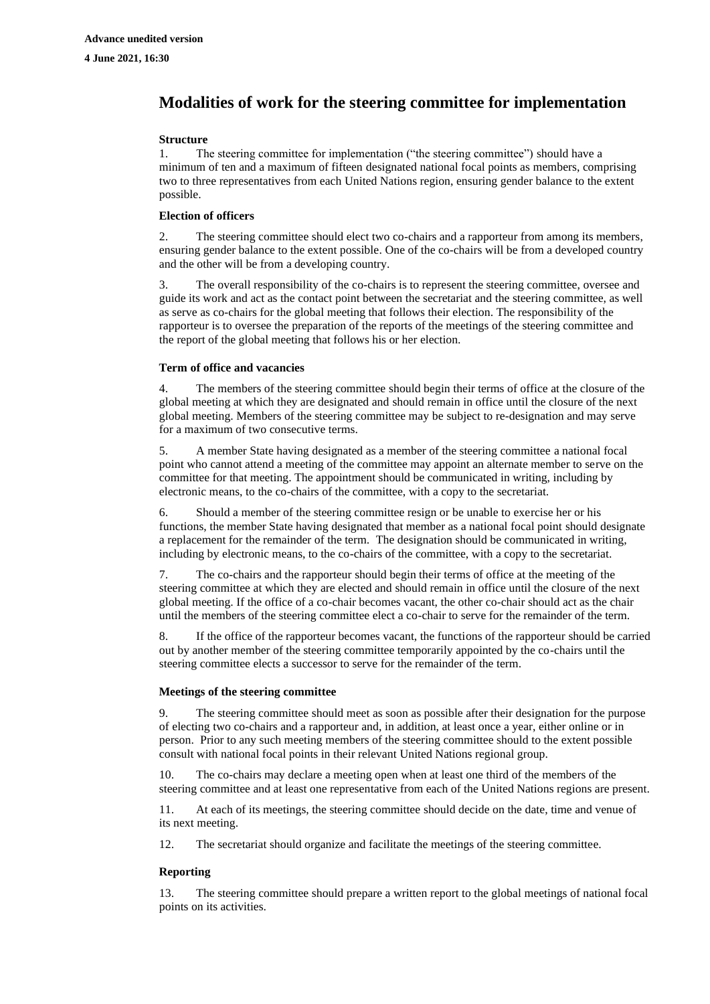# **Modalities of work for the steering committee for implementation**

#### **Structure**

1. The steering committee for implementation ("the steering committee") should have a minimum of ten and a maximum of fifteen designated national focal points as members, comprising two to three representatives from each United Nations region, ensuring gender balance to the extent possible.

## **Election of officers**

2. The steering committee should elect two co-chairs and a rapporteur from among its members, ensuring gender balance to the extent possible. One of the co-chairs will be from a developed country and the other will be from a developing country.

3. The overall responsibility of the co-chairs is to represent the steering committee, oversee and guide its work and act as the contact point between the secretariat and the steering committee, as well as serve as co-chairs for the global meeting that follows their election. The responsibility of the rapporteur is to oversee the preparation of the reports of the meetings of the steering committee and the report of the global meeting that follows his or her election.

## **Term of office and vacancies**

4. The members of the steering committee should begin their terms of office at the closure of the global meeting at which they are designated and should remain in office until the closure of the next global meeting. Members of the steering committee may be subject to re-designation and may serve for a maximum of two consecutive terms.

5. A member State having designated as a member of the steering committee a national focal point who cannot attend a meeting of the committee may appoint an alternate member to serve on the committee for that meeting. The appointment should be communicated in writing, including by electronic means, to the co-chairs of the committee, with a copy to the secretariat.

6. Should a member of the steering committee resign or be unable to exercise her or his functions, the member State having designated that member as a national focal point should designate a replacement for the remainder of the term. The designation should be communicated in writing, including by electronic means, to the co-chairs of the committee, with a copy to the secretariat.

7. The co-chairs and the rapporteur should begin their terms of office at the meeting of the steering committee at which they are elected and should remain in office until the closure of the next global meeting. If the office of a co-chair becomes vacant, the other co-chair should act as the chair until the members of the steering committee elect a co-chair to serve for the remainder of the term.

8. If the office of the rapporteur becomes vacant, the functions of the rapporteur should be carried out by another member of the steering committee temporarily appointed by the co-chairs until the steering committee elects a successor to serve for the remainder of the term.

#### **Meetings of the steering committee**

The steering committee should meet as soon as possible after their designation for the purpose of electing two co-chairs and a rapporteur and, in addition, at least once a year, either online or in person. Prior to any such meeting members of the steering committee should to the extent possible consult with national focal points in their relevant United Nations regional group.

10. The co-chairs may declare a meeting open when at least one third of the members of the steering committee and at least one representative from each of the United Nations regions are present.

11. At each of its meetings, the steering committee should decide on the date, time and venue of its next meeting.

12. The secretariat should organize and facilitate the meetings of the steering committee.

#### **Reporting**

13. The steering committee should prepare a written report to the global meetings of national focal points on its activities.